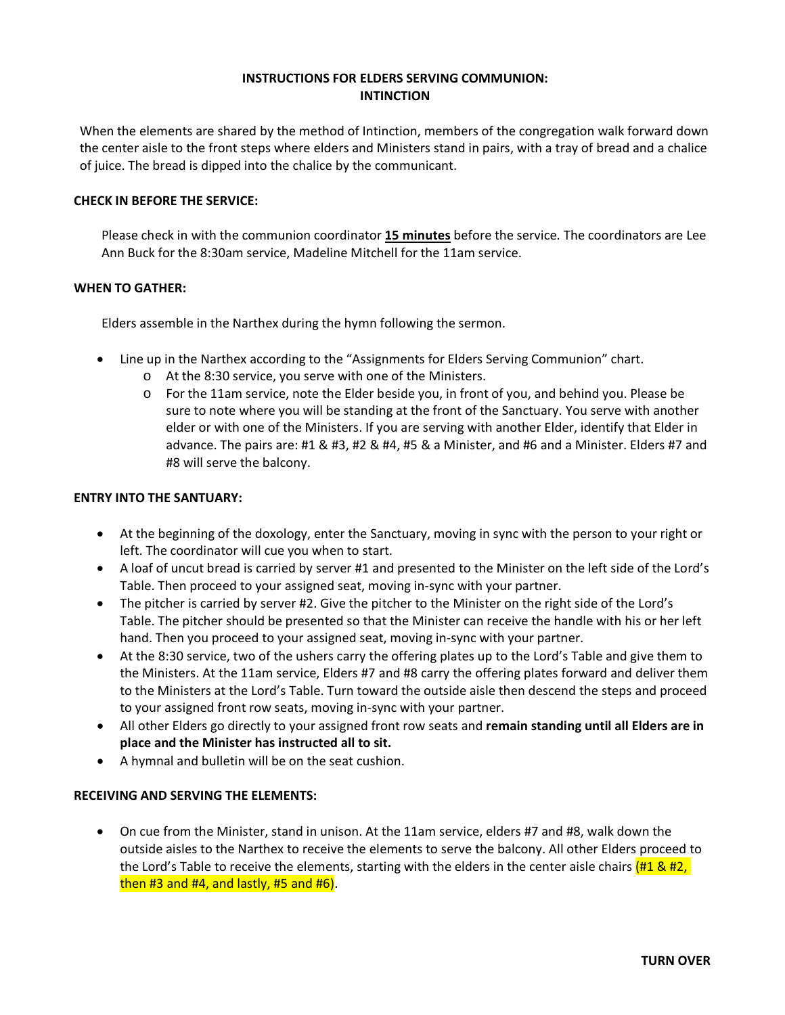## **INSTRUCTIONS FOR ELDERS SERVING COMMUNION: INTINCTION**

When the elements are shared by the method of Intinction, members of the congregation walk forward down the center aisle to the front steps where elders and Ministers stand in pairs, with a tray of bread and a chalice of juice. The bread is dipped into the chalice by the communicant.

## **CHECK IN BEFORE THE SERVICE:**

Please check in with the communion coordinator **15 minutes** before the service. The coordinators are Lee Ann Buck for the 8:30am service, Madeline Mitchell for the 11am service.

## **WHEN TO GATHER:**

Elders assemble in the Narthex during the hymn following the sermon.

- Line up in the Narthex according to the "Assignments for Elders Serving Communion" chart.
	- o At the 8:30 service, you serve with one of the Ministers.
	- o For the 11am service, note the Elder beside you, in front of you, and behind you. Please be sure to note where you will be standing at the front of the Sanctuary. You serve with another elder or with one of the Ministers. If you are serving with another Elder, identify that Elder in advance. The pairs are: #1 & #3, #2 & #4, #5 & a Minister, and #6 and a Minister. Elders #7 and #8 will serve the balcony.

#### **ENTRY INTO THE SANTUARY:**

- At the beginning of the doxology, enter the Sanctuary, moving in sync with the person to your right or left. The coordinator will cue you when to start.
- A loaf of uncut bread is carried by server #1 and presented to the Minister on the left side of the Lord's Table. Then proceed to your assigned seat, moving in-sync with your partner.
- The pitcher is carried by server #2. Give the pitcher to the Minister on the right side of the Lord's Table. The pitcher should be presented so that the Minister can receive the handle with his or her left hand. Then you proceed to your assigned seat, moving in-sync with your partner.
- At the 8:30 service, two of the ushers carry the offering plates up to the Lord's Table and give them to the Ministers. At the 11am service, Elders #7 and #8 carry the offering plates forward and deliver them to the Ministers at the Lord's Table. Turn toward the outside aisle then descend the steps and proceed to your assigned front row seats, moving in-sync with your partner.
- All other Elders go directly to your assigned front row seats and **remain standing until all Elders are in place and the Minister has instructed all to sit.**
- A hymnal and bulletin will be on the seat cushion.

#### **RECEIVING AND SERVING THE ELEMENTS:**

• On cue from the Minister, stand in unison. At the 11am service, elders #7 and #8, walk down the outside aisles to the Narthex to receive the elements to serve the balcony. All other Elders proceed to the Lord's Table to receive the elements, starting with the elders in the center aisle chairs  $\left(\frac{\text{H1 8 H2}}{\text{m} \cdot \text{m}}\right)$ then  $#3$  and  $#4$ , and lastly,  $#5$  and  $#6$ ).